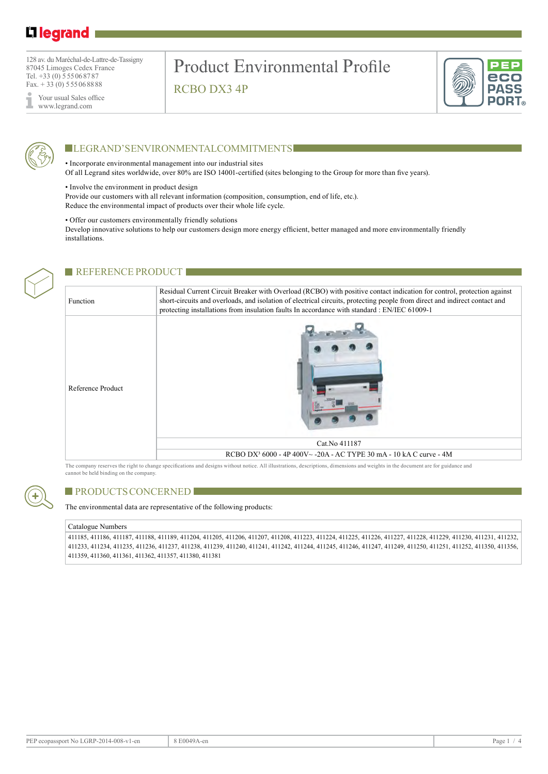# L1 legrand

128 av. du Maréchal-de-Lattre-de-Tassigny 87045 Limoges Cedex France Tel. +33 (0) 555068787 Fax.  $+33(0)$  555068888

Your usual Sales office www.legrand.com

# Product Environmental Profile RCBO DX3 4P





## **LEGRAND'S ENVIRONMENTAL COMMITMENTS**

• Incorporate environmental management into our industrial sites

Of all Legrand sites worldwide, over 80% are ISO 14001-certified (sites belonging to the Group for more than five years).

• Involve the environment in product design

Provide our customers with all relevant information (composition, consumption, end of life, etc.). Reduce the environmental impact of products over their whole life cycle.

#### • Offer our customers environmentally friendly solutions

Develop innovative solutions to help our customers design more energy efficient, better managed and more environmentally friendly installations.



### REFERENCE PRODUCT

Function Residual Current Circuit Breaker with Overload (RCBO) with positive contact indication for control, protection against short-circuits and overloads, and isolation of electrical circuits, protecting people from direct and indirect contact and protecting installations from insulation faults In accordance with standard : EN/IEC 61009-1 Reference Product Cat.No 411187 RCBO DX³ 6000 - 4P 400V~ -20A - AC TYPE 30 mA - 10 kA C curve - 4M

The company reserves the right to change specifications and designs without notice. All illustrations, descriptions, dimensions and weights in the document are for guidance and cannot be held binding on the company.



### **PRODUCTS CONCERNED**

The environmental data are representative of the following products:

#### Catalogue Numbers

411185, 411186, 411187, 411188, 411189, 411204, 411205, 411206, 411207, 411208, 411223, 411224, 411225, 411226, 411227, 411228, 411229, 411230, 411231, 411232, 411233, 411234, 411235, 411236, 411237, 411238, 411239, 411240, 411241, 411242, 411244, 411245, 411246, 411247, 411249, 411250, 411251, 411252, 411350, 411356, 411359, 411360, 411361, 411362, 411357, 411380, 411381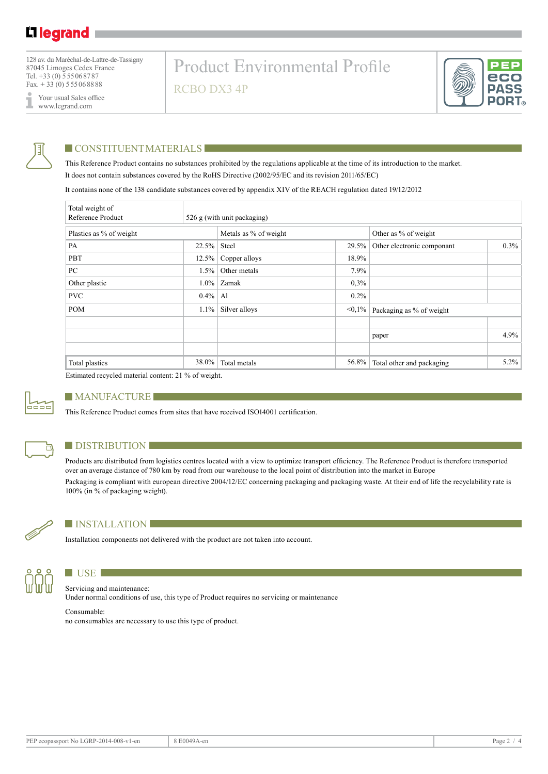128 av. du Maréchal-de-Lattre-de-Tassigny 87045 Limoges Cedex France Tel. +33 (0) 555068787 Fax.  $+33(0)$  555068888

Your usual Sales office I www.legrand.com

# Product Environmental Profile RCBO DX3 4P





### **CONSTITUENTMATERIALS**

This Reference Product contains no substances prohibited by the regulations applicable at the time of its introduction to the market. It does not contain substances covered by the RoHS Directive (2002/95/EC and its revision 2011/65/EC)

It contains none of the 138 candidate substances covered by appendix XIV of the REACH regulation dated 19/12/2012

| Total weight of<br>Reference Product |          | 526 g (with unit packaging) |              |                                       |         |  |
|--------------------------------------|----------|-----------------------------|--------------|---------------------------------------|---------|--|
| Plastics as % of weight              |          | Metals as % of weight       |              | Other as % of weight                  |         |  |
| PA                                   | $22.5\%$ | Steel                       | $29.5\%$     | $0.3\%$<br>Other electronic componant |         |  |
| PBT                                  | $12.5\%$ | Copper alloys               | 18.9%        |                                       |         |  |
| PC                                   | 1.5%     | Other metals                |              |                                       |         |  |
| Other plastic                        | $1.0\%$  | Zamak                       |              |                                       |         |  |
| <b>PVC</b>                           | $0.4\%$  | Al                          | $0.2\%$      |                                       |         |  |
| <b>POM</b>                           | $1.1\%$  | Silver alloys               | $\leq 0.1\%$ | Packaging as % of weight              |         |  |
|                                      |          |                             |              |                                       |         |  |
|                                      |          |                             |              | 4.9%<br>paper                         |         |  |
|                                      |          |                             |              |                                       |         |  |
| Total plastics                       | 38.0%    | Total metals                | 56.8%        | Total other and packaging             | $5.2\%$ |  |

Estimated recycled material content: 21 % of weight.



### **MANUFACTURE**

This Reference Product comes from sites that have received ISO14001 certification.



### **DISTRIBUTION**

Products are distributed from logistics centres located with a view to optimize transport efficiency. The Reference Product is therefore transported over an average distance of 780 km by road from our warehouse to the local point of distribution into the market in Europe Packaging is compliant with european directive 2004/12/EC concerning packaging and packaging waste. At their end of life the recyclability rate is 100% (in % of packaging weight).



### **installation**

Installation components not delivered with the product are not taken into account.



## **LETTER**

Servicing and maintenance: Under normal conditions of use, this type of Product requires no servicing or maintenance

Consumable: no consumables are necessary to use this type of product.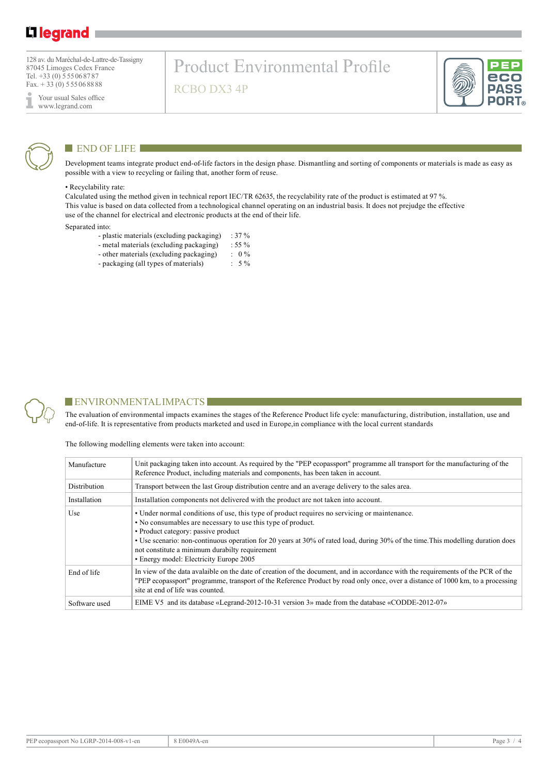# L1 legrand

128 av. du Maréchal-de-Lattre-de-Tassigny 87045 Limoges Cedex France Tel. +33 (0) 555068787 Fax.  $+33(0)$  555068888

Your usual Sales office ı www.legrand.com

# Product Environmental Profile RCBO DX3 4P





## $END$  OF LIFE

Development teams integrate product end-of-life factors in the design phase. Dismantling and sorting of components or materials is made as easy as possible with a view to recycling or failing that, another form of reuse.

#### • Recyclability rate:

Calculated using the method given in technical report IEC/TR 62635, the recyclability rate of the product is estimated at 97 %. This value is based on data collected from a technological channel operating on an industrial basis. It does not prejudge the effective use of the channel for electrical and electronic products at the end of their life.

#### Separated into:

- plastic materials (excluding packaging) : 37 %
- metal materials (excluding packaging) : 55 %<br>- other materials (excluding packaging) : 0 %
- other materials (excluding packaging) : 0 %<br>- packaging (all types of materials) : 5 %
- packaging (all types of materials)



### $\blacksquare$  ENVIRONMENTAL IMPACTS

The evaluation of environmental impacts examines the stages of the Reference Product life cycle: manufacturing, distribution, installation, use and end-of-life. It is representative from products marketed and used in Europe,in compliance with the local current standards

The following modelling elements were taken into account:

| Manufacture   | Unit packaging taken into account. As required by the "PEP ecopassport" programme all transport for the manufacturing of the<br>Reference Product, including materials and components, has been taken in account.                                                                                                                                                                                                                   |
|---------------|-------------------------------------------------------------------------------------------------------------------------------------------------------------------------------------------------------------------------------------------------------------------------------------------------------------------------------------------------------------------------------------------------------------------------------------|
| Distribution  | Transport between the last Group distribution centre and an average delivery to the sales area.                                                                                                                                                                                                                                                                                                                                     |
| Installation  | Installation components not delivered with the product are not taken into account.                                                                                                                                                                                                                                                                                                                                                  |
| Use           | • Under normal conditions of use, this type of product requires no servicing or maintenance.<br>• No consumables are necessary to use this type of product.<br>• Product category: passive product<br>• Use scenario: non-continuous operation for 20 years at 30% of rated load, during 30% of the time. This modelling duration does<br>not constitute a minimum durabilty requirement<br>• Energy model: Electricity Europe 2005 |
| End of life   | In view of the data avalable on the date of creation of the document, and in accordance with the requirements of the PCR of the<br>"PEP ecopassport" programme, transport of the Reference Product by road only once, over a distance of 1000 km, to a processing<br>site at end of life was counted.                                                                                                                               |
| Software used | EIME V5 and its database «Legrand-2012-10-31 version 3» made from the database «CODDE-2012-07»                                                                                                                                                                                                                                                                                                                                      |